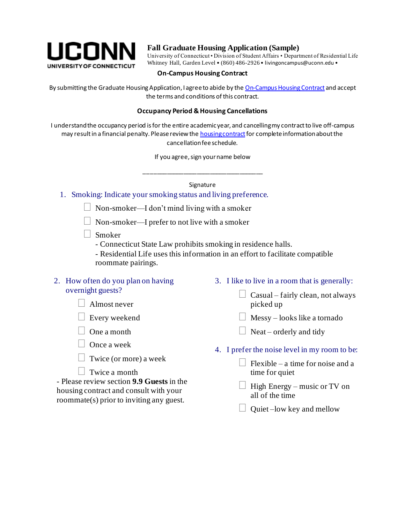

# **Fall Graduate Housing Application (Sample)**

University of Connecticut • Division of Student Affairs • Department of Residential Life Whitney Hall, Garden Level • (860) 486-2926 • livingoncampus@uconn.edu •

# **On-Campus Housing Contract**

By submitting the Graduate Housing Application, I agree to abide by th[e On-Campus Housing Contract](http://www.reslife.uconn.edu/housing-contract-forms/) and accept the terms and conditions of this contract.

#### **Occupancy Period & Housing Cancellations**

I understand the occupancy period is for the entire academic year, and cancelling my contract to live off-campus may result in a financial penalty. Please review th[e housing contract](http://www.reslife.uconn.edu/housing-contract-forms/) for complete information about the cancellation fee schedule.

If you agree, sign your name below

\_\_\_\_\_\_\_\_\_\_\_\_\_\_\_\_\_\_\_\_\_\_\_\_\_\_\_\_\_\_\_\_\_\_\_\_

### Signature

#### 1. Smoking: Indicate your smoking status and living preference.

- $\Box$  Non-smoker—I don't mind living with a smoker
- $\Box$  Non-smoker—I prefer to not live with a smoker
- Smoker
	- Connecticut State Law prohibits smoking in residence halls.
	- Residential Life uses this information in an effort to facilitate compatible roommate pairings.

## 2. How often do you plan on having overnight guests?

| $\Box$ Almost never |
|---------------------|
|                     |

Every weekend

- One a month
- Once a week
- $\Box$  Twice (or more) a week
- $\Box$  Twice a month

- Please review section **9.9 Guests** in the housing contract and consult with your roommate(s) prior to inviting any guest.

- 3. I like to live in a room that is generally:
	- $\Box$  Casual fairly clean, not always picked up
	- $\Box$  Messy looks like a tornado
	- $\Box$  Neat orderly and tidy
- 4. I prefer the noise level in my room to be:
	- $\Box$  Flexible a time for noise and a time for quiet
	- $\Box$  High Energy music or TV on all of the time
	- $\Box$  Quiet –low key and mellow